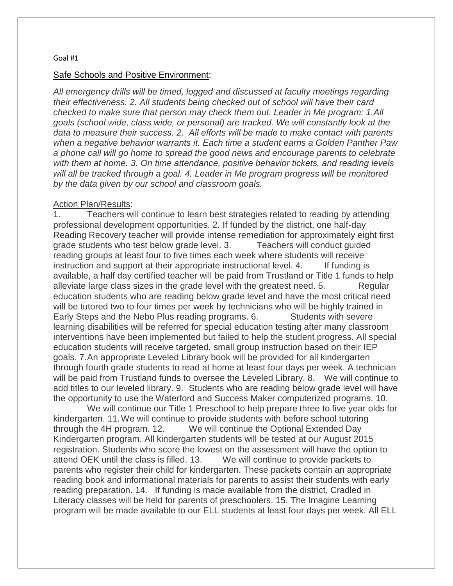#### Safe Schools and Positive Environment:

*All emergency drills will be timed, logged and discussed at faculty meetings regarding their effectiveness. 2. All students being checked out of school will have their card checked to make sure that person may check them out. Leader in Me program: 1.All goals (school wide, class wide, or personal) are tracked. We will constantly look at the data to measure their success. 2. All efforts will be made to make contact with parents when a negative behavior warrants it. Each time a student earns a Golden Panther Paw a phone call will go home to spread the good news and encourage parents to celebrate with them at home. 3. On time attendance, positive behavior tickets, and reading levels*  will all be tracked through a goal. 4. Leader in Me program progress will be monitored *by the data given by our school and classroom goals.*

#### Action Plan/Results:

1. Teachers will continue to learn best strategies related to reading by attending professional development opportunities. 2. If funded by the district, one half-day Reading Recovery teacher will provide intense remediation for approximately eight first grade students who test below grade level. 3. Teachers will conduct guided reading groups at least four to five times each week where students will receive instruction and support at their appropriate instructional level. 4. If funding is available, a half day certified teacher will be paid from Trustland or Title 1 funds to help alleviate large class sizes in the grade level with the greatest need. 5. Regular education students who are reading below grade level and have the most critical need will be tutored two to four times per week by technicians who will be highly trained in Early Steps and the Nebo Plus reading programs. 6. Students with severe learning disabilities will be referred for special education testing after many classroom interventions have been implemented but failed to help the student progress. All special education students will receive targeted, small group instruction based on their IEP goals. 7.An appropriate Leveled Library book will be provided for all kindergarten through fourth grade students to read at home at least four days per week. A technician will be paid from Trustland funds to oversee the Leveled Library. 8. We will continue to add titles to our leveled library. 9. Students who are reading below grade level will have the opportunity to use the Waterford and Success Maker computerized programs. 10.

We will continue our Title 1 Preschool to help prepare three to five year olds for kindergarten. 11.We will continue to provide students with before school tutoring through the 4H program. 12. We will continue the Optional Extended Day Kindergarten program. All kindergarten students will be tested at our August 2015 registration. Students who score the lowest on the assessment will have the option to attend OEK until the class is filled. 13. We will continue to provide packets to parents who register their child for kindergarten. These packets contain an appropriate reading book and informational materials for parents to assist their students with early reading preparation. 14. If funding is made available from the district, Cradled in Literacy classes will be held for parents of preschoolers. 15. The Imagine Learning program will be made available to our ELL students at least four days per week. All ELL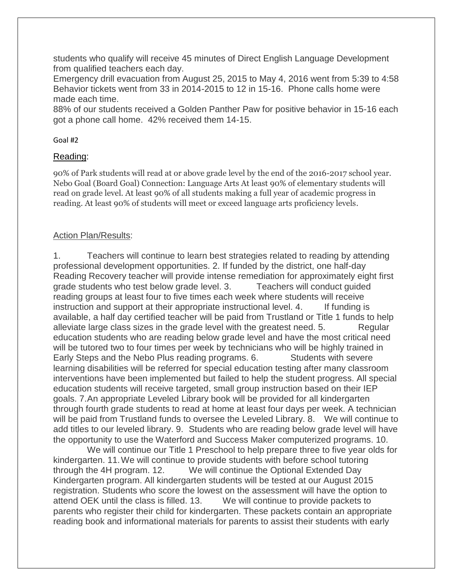students who qualify will receive 45 minutes of Direct English Language Development from qualified teachers each day.

Emergency drill evacuation from August 25, 2015 to May 4, 2016 went from 5:39 to 4:58 Behavior tickets went from 33 in 2014-2015 to 12 in 15-16. Phone calls home were made each time.

88% of our students received a Golden Panther Paw for positive behavior in 15-16 each got a phone call home. 42% received them 14-15.

## Goal #2

## Reading:

90% of Park students will read at or above grade level by the end of the 2016-2017 school year. Nebo Goal (Board Goal) Connection: Language Arts At least 90% of elementary students will read on grade level. At least 90% of all students making a full year of academic progress in reading. At least 90% of students will meet or exceed language arts proficiency levels.

# Action Plan/Results:

1. Teachers will continue to learn best strategies related to reading by attending professional development opportunities. 2. If funded by the district, one half-day Reading Recovery teacher will provide intense remediation for approximately eight first grade students who test below grade level. 3. Teachers will conduct guided reading groups at least four to five times each week where students will receive instruction and support at their appropriate instructional level. 4. If funding is available, a half day certified teacher will be paid from Trustland or Title 1 funds to help alleviate large class sizes in the grade level with the greatest need. 5. Regular education students who are reading below grade level and have the most critical need will be tutored two to four times per week by technicians who will be highly trained in Early Steps and the Nebo Plus reading programs. 6. Students with severe learning disabilities will be referred for special education testing after many classroom interventions have been implemented but failed to help the student progress. All special education students will receive targeted, small group instruction based on their IEP goals. 7.An appropriate Leveled Library book will be provided for all kindergarten through fourth grade students to read at home at least four days per week. A technician will be paid from Trustland funds to oversee the Leveled Library. 8. We will continue to add titles to our leveled library. 9. Students who are reading below grade level will have the opportunity to use the Waterford and Success Maker computerized programs. 10.

We will continue our Title 1 Preschool to help prepare three to five year olds for kindergarten. 11.We will continue to provide students with before school tutoring through the 4H program. 12. We will continue the Optional Extended Day Kindergarten program. All kindergarten students will be tested at our August 2015 registration. Students who score the lowest on the assessment will have the option to attend OEK until the class is filled. 13. We will continue to provide packets to parents who register their child for kindergarten. These packets contain an appropriate reading book and informational materials for parents to assist their students with early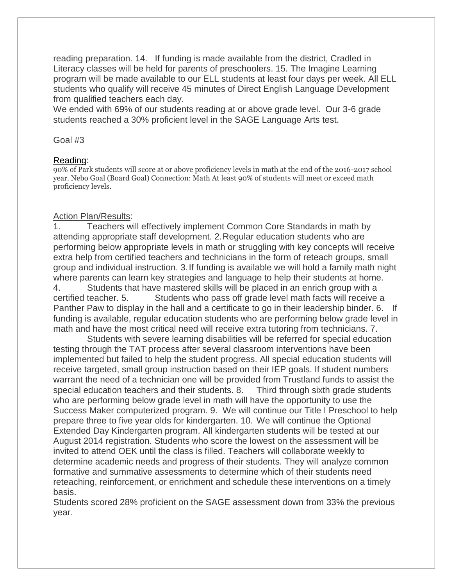reading preparation. 14. If funding is made available from the district, Cradled in Literacy classes will be held for parents of preschoolers. 15. The Imagine Learning program will be made available to our ELL students at least four days per week. All ELL students who qualify will receive 45 minutes of Direct English Language Development from qualified teachers each day.

We ended with 69% of our students reading at or above grade level. Our 3-6 grade students reached a 30% proficient level in the SAGE Language Arts test.

#### Goal #3

#### Reading:

90% of Park students will score at or above proficiency levels in math at the end of the 2016-2017 school year. Nebo Goal (Board Goal) Connection: Math At least 90% of students will meet or exceed math proficiency levels.

### Action Plan/Results:

1. Teachers will effectively implement Common Core Standards in math by attending appropriate staff development. 2.Regular education students who are performing below appropriate levels in math or struggling with key concepts will receive extra help from certified teachers and technicians in the form of reteach groups, small group and individual instruction. 3.If funding is available we will hold a family math night where parents can learn key strategies and language to help their students at home. 4. Students that have mastered skills will be placed in an enrich group with a certified teacher. 5. Students who pass off grade level math facts will receive a Panther Paw to display in the hall and a certificate to go in their leadership binder. 6. If funding is available, regular education students who are performing below grade level in math and have the most critical need will receive extra tutoring from technicians. 7.

Students with severe learning disabilities will be referred for special education testing through the TAT process after several classroom interventions have been implemented but failed to help the student progress. All special education students will receive targeted, small group instruction based on their IEP goals. If student numbers warrant the need of a technician one will be provided from Trustland funds to assist the special education teachers and their students. 8. Third through sixth grade students who are performing below grade level in math will have the opportunity to use the Success Maker computerized program. 9. We will continue our Title I Preschool to help prepare three to five year olds for kindergarten. 10. We will continue the Optional Extended Day Kindergarten program. All kindergarten students will be tested at our August 2014 registration. Students who score the lowest on the assessment will be invited to attend OEK until the class is filled. Teachers will collaborate weekly to determine academic needs and progress of their students. They will analyze common formative and summative assessments to determine which of their students need reteaching, reinforcement, or enrichment and schedule these interventions on a timely basis.

Students scored 28% proficient on the SAGE assessment down from 33% the previous year.